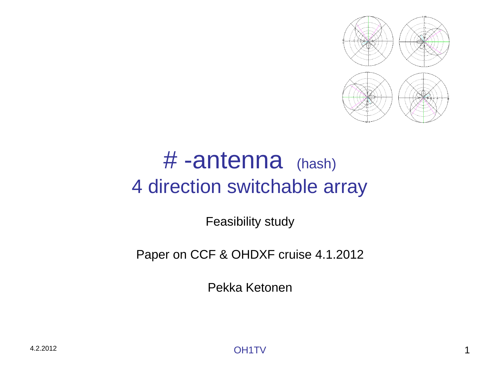

#### # -antenna (hash) 4 direction switchable array

Feasibility study

#### Paper on CCF & OHDXF cruise 4.1.2012

Pekka Ketonen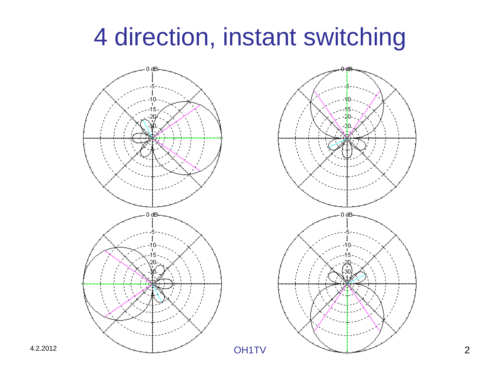## 4 direction, instant switching



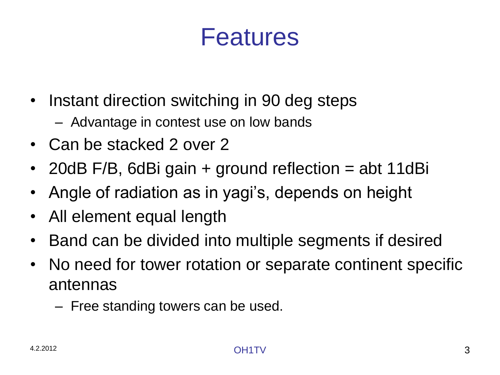#### Features

- Instant direction switching in 90 deg steps
	- Advantage in contest use on low bands
- Can be stacked 2 over 2
- 20dB F/B, 6dBi gain + ground reflection = abt 11dBi
- Angle of radiation as in yagi's, depends on height
- All element equal length
- Band can be divided into multiple segments if desired
- No need for tower rotation or separate continent specific antennas
	- Free standing towers can be used.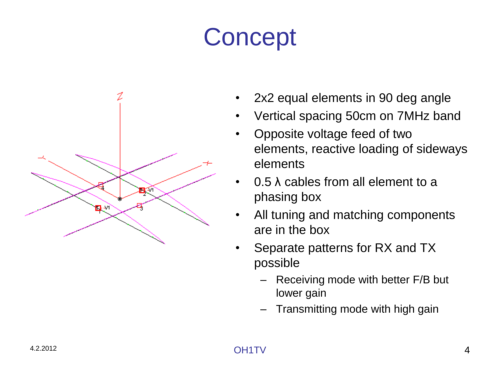# **Concept**



- 2x2 equal elements in 90 deg angle
- Vertical spacing 50cm on 7MHz band
- Opposite voltage feed of two elements, reactive loading of sideways elements
- 0.5 λ cables from all element to a phasing box
- All tuning and matching components are in the box
- Separate patterns for RX and TX possible
	- Receiving mode with better F/B but lower gain
	- Transmitting mode with high gain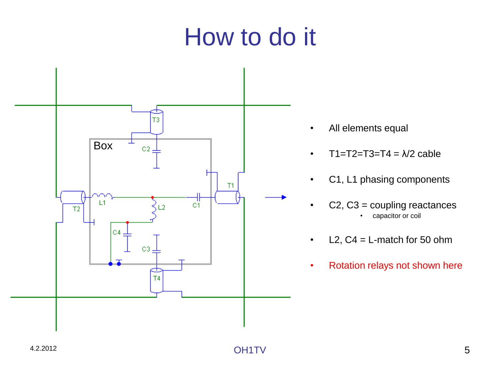#### How to do it



- All elements equal
- $T1 = T2 = T3 = T4 = \frac{\lambda}{2}$  cable
- C1, L1 phasing components
- C2, C3 = coupling reactances capacitor or coil
- $L2$ ,  $C4 = L$ -match for 50 ohm
- Rotation relays not shown here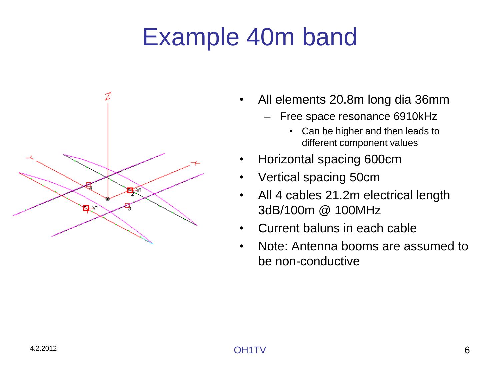# Example 40m band



- All elements 20.8m long dia 36mm
	- Free space resonance 6910kHz
		- Can be higher and then leads to different component values
- Horizontal spacing 600cm
- Vertical spacing 50cm
- All 4 cables 21.2m electrical length 3dB/100m @ 100MHz
- Current baluns in each cable
- Note: Antenna booms are assumed to be non-conductive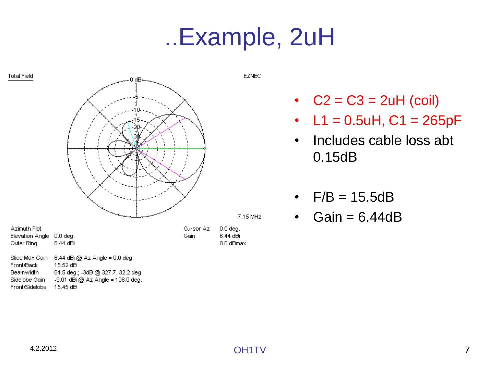#### ..Example, 2uH



•  $C2 = C3 = 2uH$  (coil)

- $L1 = 0.5$ uH,  $C1 = 265$ pF
- Includes cable loss abt 0.15dB
- $F/B = 15.5dB$
- Gain  $= 6.44dB$

Front/Sidelobe 15.45 dB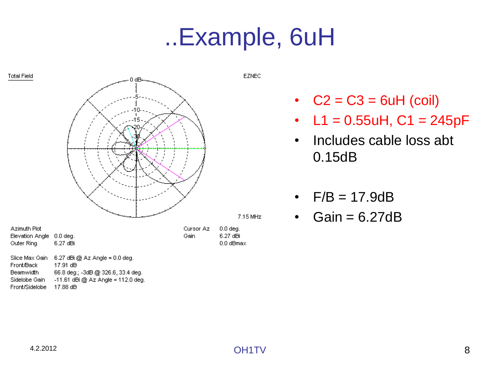#### ..Example, 6uH



Sidelobe Gain  $-11.61$  dBi @ Az Angle = 112.0 deg.

Front/Sidelobe 17.88 dB

- $C2 = C3 = 6uH$  (coil)
- $L1 = 0.55$ uH, C1 = 245pF
- Includes cable loss abt 0.15dB
- $F/B = 17.9dB$
- $\cdot$  Gain = 6.27dB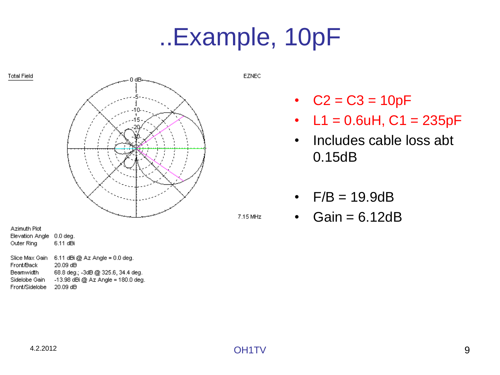## ..Example, 10pF



Slice Max Gain 6.11 dBi @ Az Angle = 0.0 deg. Front/Back 20.09 dB **Beamwidth** 68.8 deg.; -3dB @ 325.6, 34.4 deg. Sidelobe Gain -13.98 dBi @ Az Angle = 180.0 deg. Front/Sidelobe 20.09 dB

**EZNEC** 

- $C2 = C3 = 10pF$
- $L1 = 0.6$ uH,  $C1 = 235$ pF
- Includes cable loss abt 0.15dB
- $F/B = 19.9dB$
- Gain  $= 6.12dB$

**Total Field** 

7.15 MHz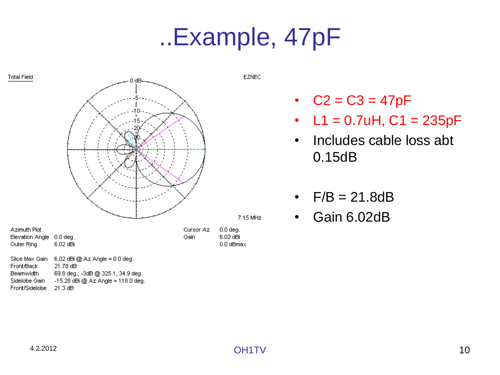## ..Example, 47pF



Sidelobe Gain  $-15.28$  dBi @ Az Angle = 118.0 deg.

Front/Sidelobe 21.3 dB

•  $C2 = C3 = 47pF$ 

- $L1 = 0.7$ uH,  $C1 = 235$ pF
- Includes cable loss abt 0.15dB
- $F/B = 21.8dB$
- Gain 6.02dB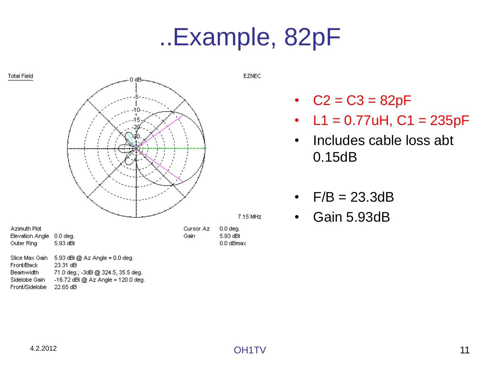## ..Example, 82pF



Front/Back **Beamwidth** 71.0 deg.; -3dB @ 324.5, 35.5 deg. Sidelobe Gain  $-16.72$  dBi @ Az Angle = 120.0 deg. Front/Sidelobe 22.65 dB

•  $C2 = C3 = 82pF$ 

- $L1 = 0.77$ uH,  $C1 = 235$ pF
- Includes cable loss abt 0.15dB
- $F/B = 23.3dB$
- Gain 5.93dB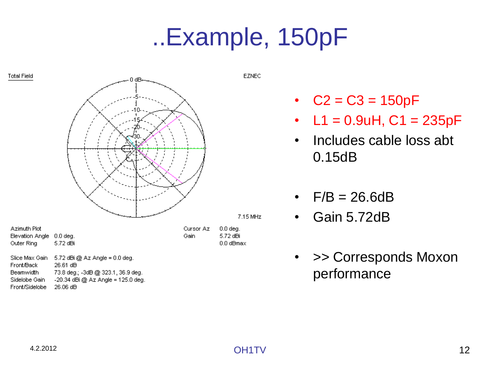# ..Example, 150pF



Front/Back Beamwidth 73.8 deg.; -3dB @ 323.1, 36.9 deg. Sidelobe Gain -20.34 dBi @ Az Angle = 125.0 deg.

Front/Sidelobe 26.06 dB

- $C2 = C3 = 150pF$
- $L1 = 0.9$ uH,  $C1 = 235$ pF
- Includes cable loss abt 0.15dB
- $F/B = 26.6dB$
- Gain 5.72dB
- >> Corresponds Moxon performance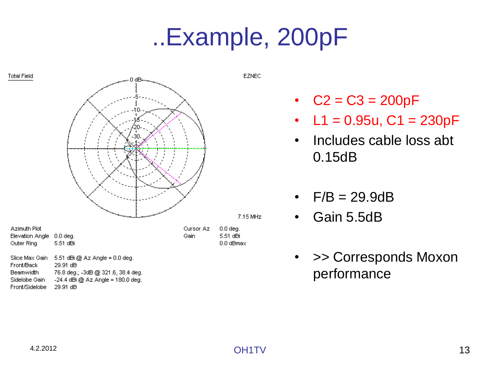# ..Example, 200pF



-24.4 dBi @ Az Angle = 180.0 deg.

**EZNEC** 

- $C2 = C3 = 200pF$
- $L1 = 0.95u$ ,  $C1 = 230pF$
- Includes cable loss abt 0.15dB
- $F/B = 29.9dB$
- Gain 5.5dB
- >> Corresponds Moxon performance

29.91 dB

Sidelobe Gain

Front/Sidelobe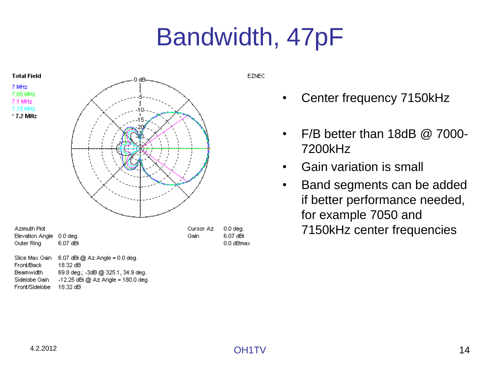# Bandwidth, 47pF



Beamwidth 69.8 deg.; -3dB @ 325.1, 34.9 deg. Sidelobe Gain  $-12.25$  dBi @ Az Angle = 180.0 deg. Front/Sidelobe 18.32 dB

**EZNEC** 

- Center frequency 7150kHz
- F/B better than 18dB @ 7000- 7200kHz
- Gain variation is small
- Band segments can be added if better performance needed, for example 7050 and 7150kHz center frequencies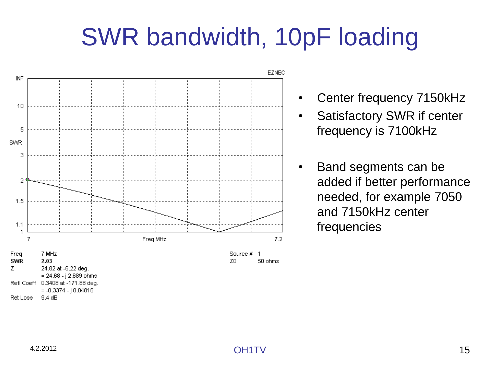# SWR bandwidth, 10pF loading



• Center frequency 7150kHz

Satisfactory SWR if center frequency is 7100kHz

• Band segments can be added if better performance needed, for example 7050 and 7150kHz center frequencies

Ret Loss

Refl Coeff 0.3408 at -171.88 deg.

9.4 dB

 $= -0.3374 - j 0.04816$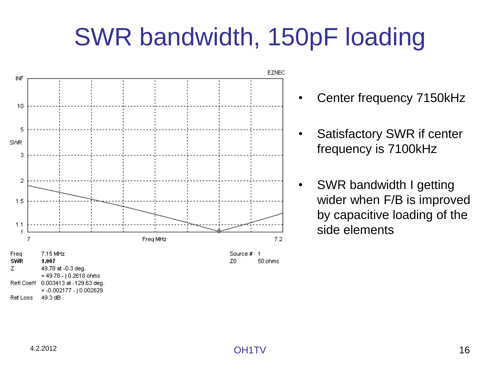# SWR bandwidth, 150pF loading



• Center frequency 7150kHz

- Satisfactory SWR if center frequency is 7100kHz
- SWR bandwidth I getting wider when F/B is improved by capacitive loading of the side elements

Refl Coeff 0.003413 at -129.63 deg.

49.3 dB

Ret Loss

 $= -0.002177 - j 0.002629$ 

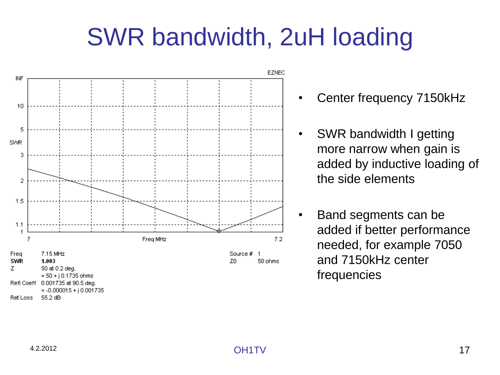# SWR bandwidth, 2uH loading



- Center frequency 7150kHz
- SWR bandwidth I getting more narrow when gain is added by inductive loading of the side elements
- Band segments can be added if better performance needed, for example 7050 and 7150kHz center frequencies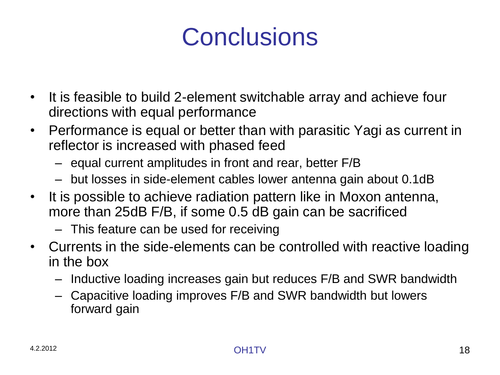## **Conclusions**

- It is feasible to build 2-element switchable array and achieve four directions with equal performance
- Performance is equal or better than with parasitic Yagi as current in reflector is increased with phased feed
	- equal current amplitudes in front and rear, better F/B
	- but losses in side-element cables lower antenna gain about 0.1dB
- It is possible to achieve radiation pattern like in Moxon antenna, more than 25dB F/B, if some 0.5 dB gain can be sacrificed
	- This feature can be used for receiving
- Currents in the side-elements can be controlled with reactive loading in the box
	- Inductive loading increases gain but reduces F/B and SWR bandwidth
	- Capacitive loading improves F/B and SWR bandwidth but lowers forward gain